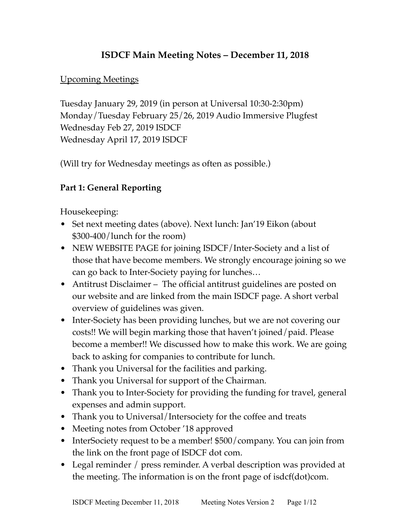### **ISDCF Main Meeting Notes – December 11, 2018**

#### Upcoming Meetings

Tuesday January 29, 2019 (in person at Universal 10:30-2:30pm) Monday/Tuesday February 25/26, 2019 Audio Immersive Plugfest Wednesday Feb 27, 2019 ISDCF Wednesday April 17, 2019 ISDCF

(Will try for Wednesday meetings as often as possible.)

### **Part 1: General Reporting**

Housekeeping:

- Set next meeting dates (above). Next lunch: Jan'19 Eikon (about \$300-400/lunch for the room)
- NEW WEBSITE PAGE for joining ISDCF/Inter-Society and a list of those that have become members. We strongly encourage joining so we can go back to Inter-Society paying for lunches…
- Antitrust Disclaimer The official antitrust guidelines are posted on our website and are linked from the main ISDCF page. A short verbal overview of guidelines was given.
- Inter-Society has been providing lunches, but we are not covering our costs!! We will begin marking those that haven't joined/paid. Please become a member!! We discussed how to make this work. We are going back to asking for companies to contribute for lunch.
- Thank you Universal for the facilities and parking.
- Thank you Universal for support of the Chairman.
- Thank you to Inter-Society for providing the funding for travel, general expenses and admin support.
- Thank you to Universal/Intersociety for the coffee and treats
- Meeting notes from October '18 approved
- InterSociety request to be a member! \$500/company. You can join from the link on the front page of ISDCF dot com.
- Legal reminder / press reminder. A verbal description was provided at the meeting. The information is on the front page of isdcf(dot)com.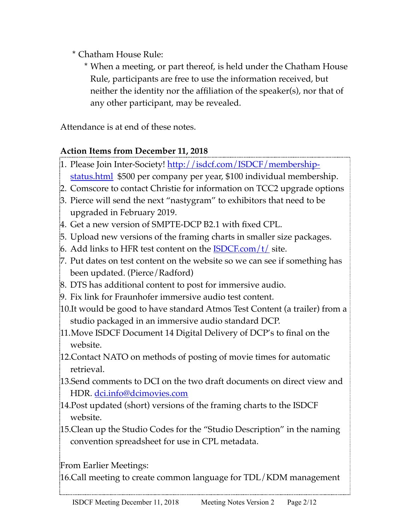\* Chatham House Rule:

\* When a meeting, or part thereof, is held under the Chatham House Rule, participants are free to use the information received, but neither the identity nor the affiliation of the speaker(s), nor that of any other participant, may be revealed.

Attendance is at end of these notes.

### **Action Items from December 11, 2018**

- 1. Please Join Inter-Society! [http://isdcf.com/ISDCF/membership](http://isdcf.com/ISDCF/membership-status.html)[status.html](http://isdcf.com/ISDCF/membership-status.html) \$500 per company per year, \$100 individual membership.
- 2. Comscore to contact Christie for information on TCC2 upgrade options
- 3. Pierce will send the next "nastygram" to exhibitors that need to be upgraded in February 2019.
- 4. Get a new version of SMPTE-DCP B2.1 with fixed CPL.
- 5. Upload new versions of the framing charts in smaller size packages.
- $6.$  Add links to HFR test content on the **ISDCF.com/t/** site.
- 7. Put dates on test content on the website so we can see if something has been updated. (Pierce/Radford)
- 8. DTS has additional content to post for immersive audio.
- 9. Fix link for Fraunhofer immersive audio test content.
- 10.It would be good to have standard Atmos Test Content (a trailer) from a studio packaged in an immersive audio standard DCP.
- 11.Move ISDCF Document 14 Digital Delivery of DCP's to final on the website.
- 12.Contact NATO on methods of posting of movie times for automatic retrieval.
- 13.Send comments to DCI on the two draft documents on direct view and HDR. [dci.info@dcimovies.com](mailto:dci.info@dcimovies.com)
- 14.Post updated (short) versions of the framing charts to the ISDCF website.
- 15.Clean up the Studio Codes for the "Studio Description" in the naming convention spreadsheet for use in CPL metadata.

From Earlier Meetings:

16.Call meeting to create common language for TDL/KDM management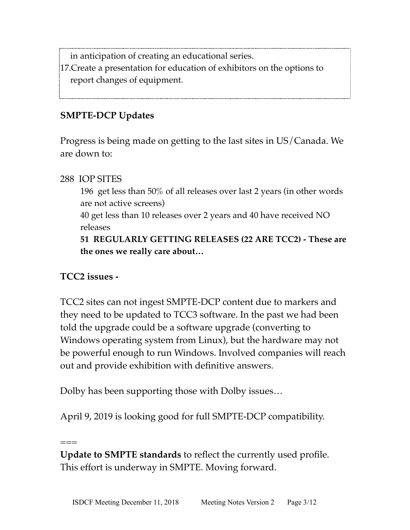in anticipation of creating an educational series.

17.Create a presentation for education of exhibitors on the options to report changes of equipment.

### **SMPTE-DCP Updates**

Progress is being made on getting to the last sites in US/Canada. We are down to:

288 IOP SITES

196 get less than 50% of all releases over last 2 years (in other words are not active screens)

40 get less than 10 releases over 2 years and 40 have received NO releases

**51 REGULARLY GETTING RELEASES (22 ARE TCC2) - These are the ones we really care about…**

### **TCC2 issues -**

===

TCC2 sites can not ingest SMPTE-DCP content due to markers and they need to be updated to TCC3 software. In the past we had been told the upgrade could be a software upgrade (converting to Windows operating system from Linux), but the hardware may not be powerful enough to run Windows. Involved companies will reach out and provide exhibition with definitive answers.

Dolby has been supporting those with Dolby issues…

April 9, 2019 is looking good for full SMPTE-DCP compatibility.

**Update to SMPTE standards** to reflect the currently used profile. This effort is underway in SMPTE. Moving forward.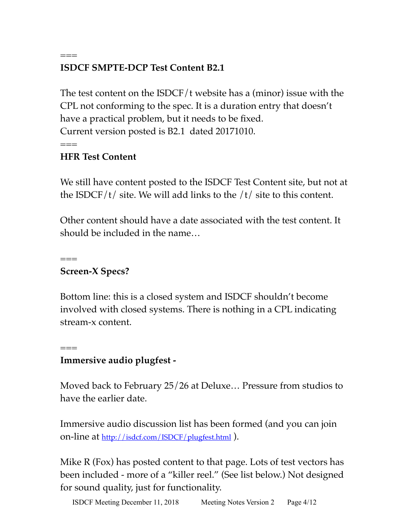# **ISDCF SMPTE-DCP Test Content B2.1**

The test content on the ISDCF/t website has a (minor) issue with the CPL not conforming to the spec. It is a duration entry that doesn't have a practical problem, but it needs to be fixed. Current version posted is B2.1 dated 20171010.  $==$ 

### **HFR Test Content**

 $=$ 

We still have content posted to the ISDCF Test Content site, but not at the ISDCF/t/ site. We will add links to the  $/t/$  site to this content.

Other content should have a date associated with the test content. It should be included in the name…

**Screen-X Specs?**

 $=$ 

 $=$ 

Bottom line: this is a closed system and ISDCF shouldn't become involved with closed systems. There is nothing in a CPL indicating stream-x content.

### **Immersive audio plugfest -**

Moved back to February 25/26 at Deluxe… Pressure from studios to have the earlier date.

Immersive audio discussion list has been formed (and you can join on-line at <u>http://isdcf.com/ISDCF/plugfest.html</u>).

Mike R (Fox) has posted content to that page. Lots of test vectors has been included - more of a "killer reel." (See list below.) Not designed for sound quality, just for functionality.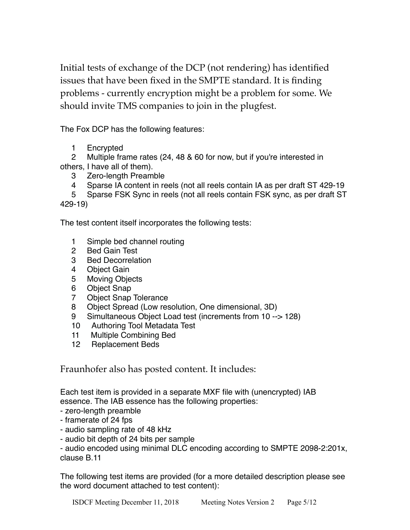Initial tests of exchange of the DCP (not rendering) has identified issues that have been fixed in the SMPTE standard. It is finding problems - currently encryption might be a problem for some. We should invite TMS companies to join in the plugfest.

The Fox DCP has the following features:

1 Encrypted

2 Multiple frame rates (24, 48 & 60 for now, but if you're interested in others, I have all of them).

- 3 Zero-length Preamble
- 4 Sparse IA content in reels (not all reels contain IA as per draft ST 429-19

 5 Sparse FSK Sync in reels (not all reels contain FSK sync, as per draft ST 429-19)

The test content itself incorporates the following tests:

- 1 Simple bed channel routing
- 2 Bed Gain Test
- 3 Bed Decorrelation
- 4 Object Gain
- 5 Moving Objects
- 6 Object Snap
- 7 Object Snap Tolerance
- 8 Object Spread (Low resolution, One dimensional, 3D)
- 9 Simultaneous Object Load test (increments from 10 --> 128)
- 10 Authoring Tool Metadata Test
- 11 Multiple Combining Bed
- 12 Replacement Beds

Fraunhofer also has posted content. It includes:

Each test item is provided in a separate MXF file with (unencrypted) IAB essence. The IAB essence has the following properties:

- zero-length preamble
- framerate of 24 fps
- audio sampling rate of 48 kHz
- audio bit depth of 24 bits per sample

- audio encoded using minimal DLC encoding according to SMPTE 2098-2:201x, clause B.11

The following test items are provided (for a more detailed description please see the word document attached to test content):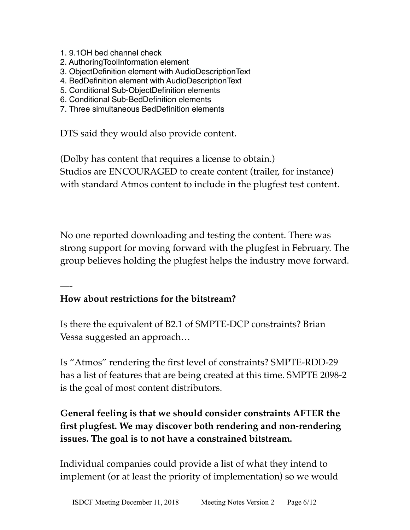- 1. 9.1OH bed channel check
- 2. AuthoringToolInformation element
- 3. ObjectDefinition element with AudioDescriptionText
- 4. BedDefinition element with AudioDescriptionText
- 5. Conditional Sub-ObjectDefinition elements
- 6. Conditional Sub-BedDefinition elements
- 7. Three simultaneous BedDefinition elements

DTS said they would also provide content.

(Dolby has content that requires a license to obtain.) Studios are ENCOURAGED to create content (trailer, for instance) with standard Atmos content to include in the plugfest test content.

No one reported downloading and testing the content. There was strong support for moving forward with the plugfest in February. The group believes holding the plugfest helps the industry move forward.

### **How about restrictions for the bitstream?**

—-

Is there the equivalent of B2.1 of SMPTE-DCP constraints? Brian Vessa suggested an approach…

Is "Atmos" rendering the first level of constraints? SMPTE-RDD-29 has a list of features that are being created at this time. SMPTE 2098-2 is the goal of most content distributors.

### **General feeling is that we should consider constraints AFTER the first plugfest. We may discover both rendering and non-rendering issues. The goal is to not have a constrained bitstream.**

Individual companies could provide a list of what they intend to implement (or at least the priority of implementation) so we would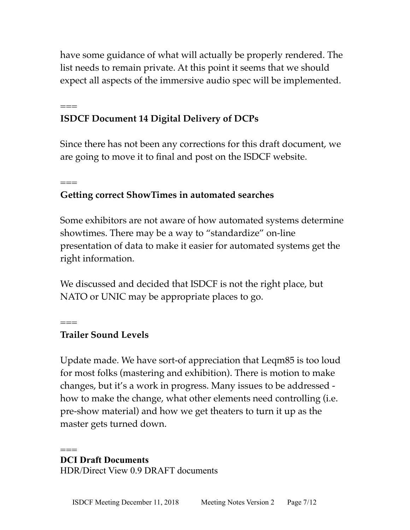have some guidance of what will actually be properly rendered. The list needs to remain private. At this point it seems that we should expect all aspects of the immersive audio spec will be implemented.

## **ISDCF Document 14 Digital Delivery of DCPs**

Since there has not been any corrections for this draft document, we are going to move it to final and post on the ISDCF website.

## **Getting correct ShowTimes in automated searches**

Some exhibitors are not aware of how automated systems determine showtimes. There may be a way to "standardize" on-line presentation of data to make it easier for automated systems get the right information.

We discussed and decided that ISDCF is not the right place, but NATO or UNIC may be appropriate places to go.

### **Trailer Sound Levels**

===

===

 $=$ 

Update made. We have sort-of appreciation that Leqm85 is too loud for most folks (mastering and exhibition). There is motion to make changes, but it's a work in progress. Many issues to be addressed how to make the change, what other elements need controlling (i.e. pre-show material) and how we get theaters to turn it up as the master gets turned down.

#### === **DCI Draft Documents**

HDR/Direct View 0.9 DRAFT documents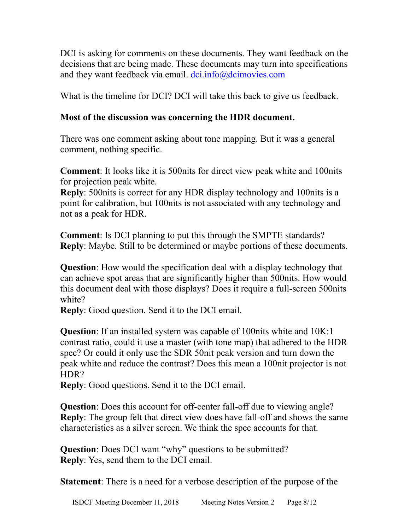DCI is asking for comments on these documents. They want feedback on the decisions that are being made. These documents may turn into specifications and they want feedback via email. dci.info@dcimovies.com

What is the timeline for DCI? DCI will take this back to give us feedback.

#### **Most of the discussion was concerning the HDR document.**

There was one comment asking about tone mapping. But it was a general comment, nothing specific.

**Comment**: It looks like it is 500nits for direct view peak white and 100nits for projection peak white.

**Reply**: 500nits is correct for any HDR display technology and 100nits is a point for calibration, but 100nits is not associated with any technology and not as a peak for HDR.

**Comment**: Is DCI planning to put this through the SMPTE standards? **Reply**: Maybe. Still to be determined or maybe portions of these documents.

**Question**: How would the specification deal with a display technology that can achieve spot areas that are significantly higher than 500nits. How would this document deal with those displays? Does it require a full-screen 500nits white?

**Reply**: Good question. Send it to the DCI email.

**Question**: If an installed system was capable of 100nits white and 10K:1 contrast ratio, could it use a master (with tone map) that adhered to the HDR spec? Or could it only use the SDR 50nit peak version and turn down the peak white and reduce the contrast? Does this mean a 100nit projector is not HDR?

**Reply**: Good questions. Send it to the DCI email.

**Question**: Does this account for off-center fall-off due to viewing angle? **Reply**: The group felt that direct view does have fall-off and shows the same characteristics as a silver screen. We think the spec accounts for that.

**Question**: Does DCI want "why" questions to be submitted? **Reply**: Yes, send them to the DCI email.

**Statement**: There is a need for a verbose description of the purpose of the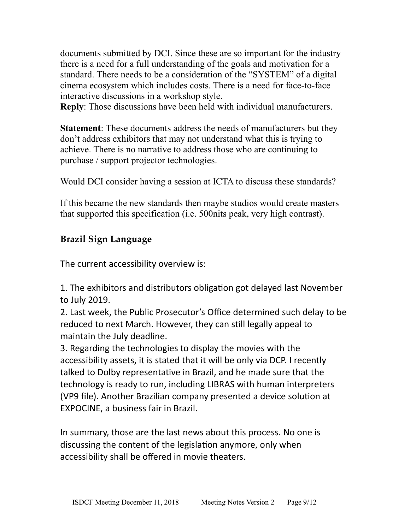documents submitted by DCI. Since these are so important for the industry there is a need for a full understanding of the goals and motivation for a standard. There needs to be a consideration of the "SYSTEM" of a digital cinema ecosystem which includes costs. There is a need for face-to-face interactive discussions in a workshop style.

**Reply**: Those discussions have been held with individual manufacturers.

**Statement**: These documents address the needs of manufacturers but they don't address exhibitors that may not understand what this is trying to achieve. There is no narrative to address those who are continuing to purchase / support projector technologies.

Would DCI consider having a session at ICTA to discuss these standards?

If this became the new standards then maybe studios would create masters that supported this specification (i.e. 500nits peak, very high contrast).

### **Brazil Sign Language**

The current accessibility overview is:

1. The exhibitors and distributors obligation got delayed last November to July 2019. 

2. Last week, the Public Prosecutor's Office determined such delay to be reduced to next March. However, they can still legally appeal to maintain the July deadline.

3. Regarding the technologies to display the movies with the accessibility assets, it is stated that it will be only via DCP. I recently talked to Dolby representative in Brazil, and he made sure that the technology is ready to run, including LIBRAS with human interpreters (VP9 file). Another Brazilian company presented a device solution at EXPOCINE, a business fair in Brazil.

In summary, those are the last news about this process. No one is discussing the content of the legislation anymore, only when accessibility shall be offered in movie theaters.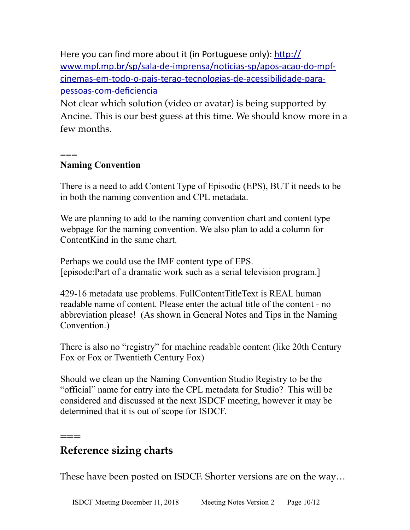Here you can find more about it (in Portuguese only): http:// www.mpf.mp.br/sp/sala-de-imprensa/noticias-sp/apos-acao-do-mpf[cinemas-em-todo-o-pais-terao-tecnologias-de-acessibilidade-para](https://na01.safelinks.protection.outlook.com/?url=http%3A%2F%2Fwww.mpf.mp.br%2Fsp%2Fsala-de-imprensa%2Fnoticias-sp%2Fapos-acao-do-mpf-cinemas-em-todo-o-pais-terao-tecnologias-de-acessibilidade-para-pessoas-com-deficiencia&data=02%7C01%7CRejyna.Douglass%40bydeluxe.com%7C164550515aa44743eec708d65efeb3b9%7C8688c7c41f2a4115a918361023dde469%7C1%7C0%7C636800845386202303&sdata=mwvp2rWPqiQKqOygSdqWPb%2BRSCXdZD4%2FtziQGqyARKM%3D&reserved=0)[pessoas-com-deficiencia](https://na01.safelinks.protection.outlook.com/?url=http%3A%2F%2Fwww.mpf.mp.br%2Fsp%2Fsala-de-imprensa%2Fnoticias-sp%2Fapos-acao-do-mpf-cinemas-em-todo-o-pais-terao-tecnologias-de-acessibilidade-para-pessoas-com-deficiencia&data=02%7C01%7CRejyna.Douglass%40bydeluxe.com%7C164550515aa44743eec708d65efeb3b9%7C8688c7c41f2a4115a918361023dde469%7C1%7C0%7C636800845386202303&sdata=mwvp2rWPqiQKqOygSdqWPb%2BRSCXdZD4%2FtziQGqyARKM%3D&reserved=0)

Not clear which solution (video or avatar) is being supported by Ancine. This is our best guess at this time. We should know more in a few months.

#### ===

#### **Naming Convention**

There is a need to add Content Type of Episodic (EPS), BUT it needs to be in both the naming convention and CPL metadata.

We are planning to add to the naming convention chart and content type webpage for the naming convention. We also plan to add a column for ContentKind in the same chart.

Perhaps we could use the IMF content type of EPS. [episode:Part of a dramatic work such as a serial television program.]

429-16 metadata use problems. FullContentTitleText is REAL human readable name of content. Please enter the actual title of the content - no abbreviation please! (As shown in General Notes and Tips in the Naming Convention.)

There is also no "registry" for machine readable content (like 20th Century Fox or Fox or Twentieth Century Fox)

Should we clean up the Naming Convention Studio Registry to be the "official" name for entry into the CPL metadata for Studio? This will be considered and discussed at the next ISDCF meeting, however it may be determined that it is out of scope for ISDCF.

## **Reference sizing charts**

 $=$ 

These have been posted on ISDCF. Shorter versions are on the way…